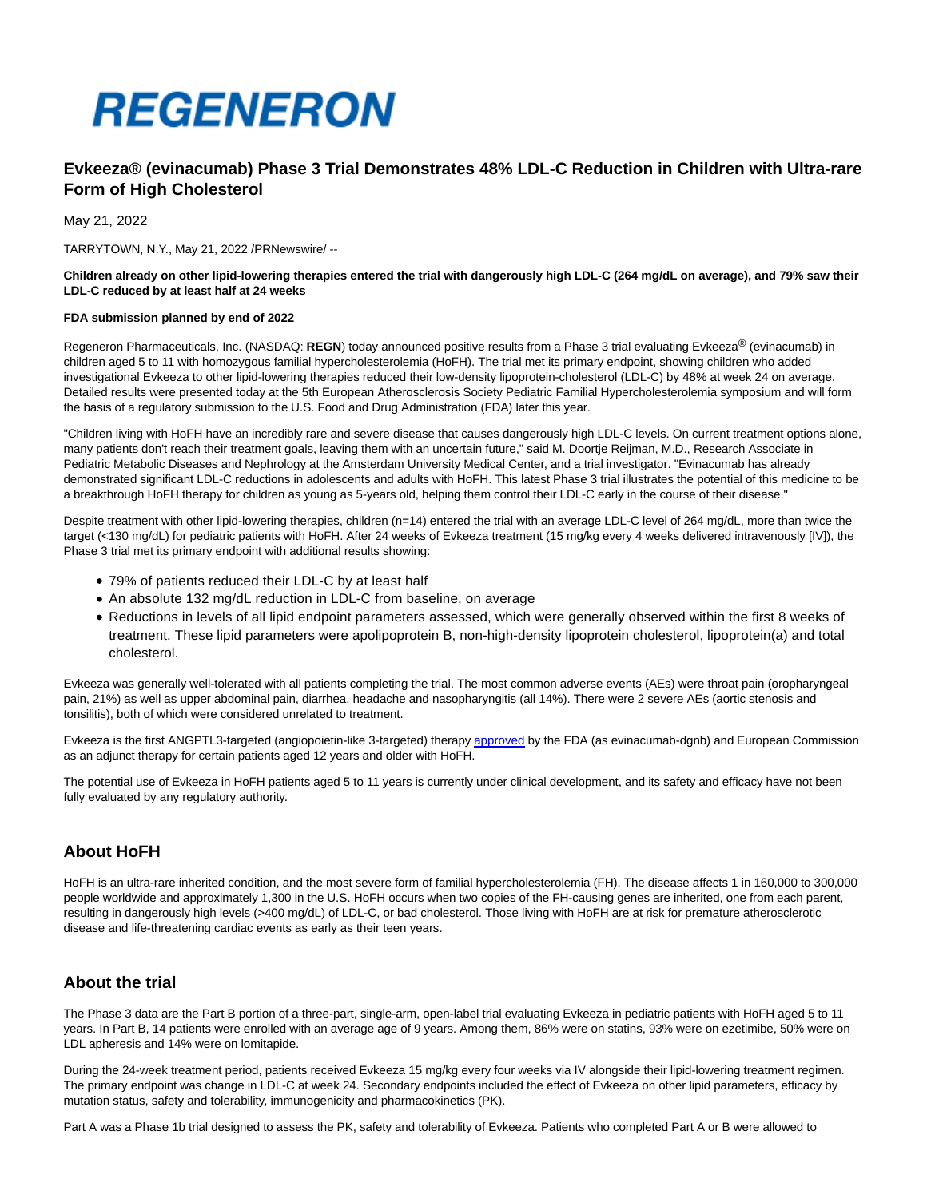

## **Evkeeza® (evinacumab) Phase 3 Trial Demonstrates 48% LDL-C Reduction in Children with Ultra-rare Form of High Cholesterol**

May 21, 2022

TARRYTOWN, N.Y., May 21, 2022 /PRNewswire/ --

**Children already on other lipid-lowering therapies entered the trial with dangerously high LDL-C (264 mg/dL on average), and 79% saw their LDL-C reduced by at least half at 24 weeks**

#### **FDA submission planned by end of 2022**

Regeneron Pharmaceuticals, Inc. (NASDAQ: **REGN**) today announced positive results from a Phase 3 trial evaluating Evkeeza® (evinacumab) in children aged 5 to 11 with homozygous familial hypercholesterolemia (HoFH). The trial met its primary endpoint, showing children who added investigational Evkeeza to other lipid-lowering therapies reduced their low-density lipoprotein-cholesterol (LDL-C) by 48% at week 24 on average. Detailed results were presented today at the 5th European Atherosclerosis Society Pediatric Familial Hypercholesterolemia symposium and will form the basis of a regulatory submission to the U.S. Food and Drug Administration (FDA) later this year.

"Children living with HoFH have an incredibly rare and severe disease that causes dangerously high LDL-C levels. On current treatment options alone, many patients don't reach their treatment goals, leaving them with an uncertain future," said M. Doortje Reijman, M.D., Research Associate in Pediatric Metabolic Diseases and Nephrology at the Amsterdam University Medical Center, and a trial investigator. "Evinacumab has already demonstrated significant LDL-C reductions in adolescents and adults with HoFH. This latest Phase 3 trial illustrates the potential of this medicine to be a breakthrough HoFH therapy for children as young as 5-years old, helping them control their LDL-C early in the course of their disease."

Despite treatment with other lipid-lowering therapies, children (n=14) entered the trial with an average LDL-C level of 264 mg/dL, more than twice the target (<130 mg/dL) for pediatric patients with HoFH. After 24 weeks of Evkeeza treatment (15 mg/kg every 4 weeks delivered intravenously [IV]), the Phase 3 trial met its primary endpoint with additional results showing:

- 79% of patients reduced their LDL-C by at least half
- An absolute 132 mg/dL reduction in LDL-C from baseline, on average
- Reductions in levels of all lipid endpoint parameters assessed, which were generally observed within the first 8 weeks of treatment. These lipid parameters were apolipoprotein B, non-high-density lipoprotein cholesterol, lipoprotein(a) and total cholesterol.

Evkeeza was generally well-tolerated with all patients completing the trial. The most common adverse events (AEs) were throat pain (oropharyngeal pain, 21%) as well as upper abdominal pain, diarrhea, headache and nasopharyngitis (all 14%). There were 2 severe AEs (aortic stenosis and tonsilitis), both of which were considered unrelated to treatment.

Evkeeza is the first ANGPTL3-targeted (angiopoietin-like 3-targeted) therap[y approved b](https://c212.net/c/link/?t=0&l=en&o=3544429-1&h=1469550600&u=https%3A%2F%2Finvestor.regeneron.com%2Fnews-releases%2Fnews-release-details%2Ffda-approves-first-class-evkeezatm-evinacumab-dgnb-patients%2F&a=approved)y the FDA (as evinacumab-dgnb) and European Commission as an adjunct therapy for certain patients aged 12 years and older with HoFH.

The potential use of Evkeeza in HoFH patients aged 5 to 11 years is currently under clinical development, and its safety and efficacy have not been fully evaluated by any regulatory authority.

## **About HoFH**

HoFH is an ultra-rare inherited condition, and the most severe form of familial hypercholesterolemia (FH). The disease affects 1 in 160,000 to 300,000 people worldwide and approximately 1,300 in the U.S. HoFH occurs when two copies of the FH-causing genes are inherited, one from each parent, resulting in dangerously high levels (>400 mg/dL) of LDL-C, or bad cholesterol. Those living with HoFH are at risk for premature atherosclerotic disease and life-threatening cardiac events as early as their teen years.

## **About the trial**

The Phase 3 data are the Part B portion of a three-part, single-arm, open-label trial evaluating Evkeeza in pediatric patients with HoFH aged 5 to 11 years. In Part B, 14 patients were enrolled with an average age of 9 years. Among them, 86% were on statins, 93% were on ezetimibe, 50% were on LDL apheresis and 14% were on lomitapide.

During the 24-week treatment period, patients received Evkeeza 15 mg/kg every four weeks via IV alongside their lipid-lowering treatment regimen. The primary endpoint was change in LDL-C at week 24. Secondary endpoints included the effect of Evkeeza on other lipid parameters, efficacy by mutation status, safety and tolerability, immunogenicity and pharmacokinetics (PK).

Part A was a Phase 1b trial designed to assess the PK, safety and tolerability of Evkeeza. Patients who completed Part A or B were allowed to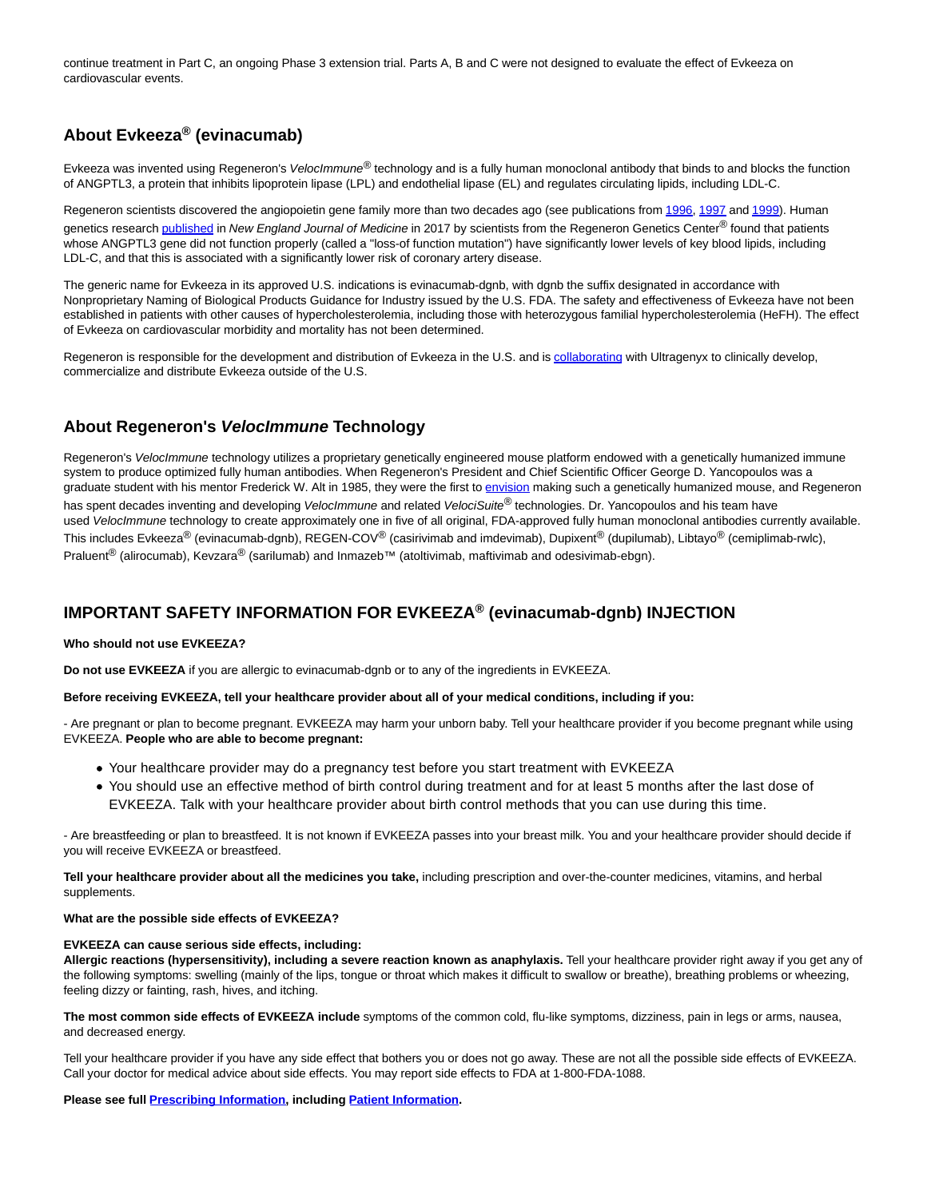continue treatment in Part C, an ongoing Phase 3 extension trial. Parts A, B and C were not designed to evaluate the effect of Evkeeza on cardiovascular events.

# **About Evkeeza® (evinacumab)**

Evkeeza was invented using Regeneron's Veloclmmune<sup>®</sup> technology and is a fully human monoclonal antibody that binds to and blocks the function of ANGPTL3, a protein that inhibits lipoprotein lipase (LPL) and endothelial lipase (EL) and regulates circulating lipids, including LDL-C.

Regeneron scientists discovered the angiopoietin gene family more than two decades ago (see publications from [1996,](https://c212.net/c/link/?t=0&l=en&o=3544429-1&h=71613788&u=https%3A%2F%2Fwww.sciencedirect.com%2Fscience%2Farticle%2Fpii%2FS0092867400818127%3Fvia%253Dihub&a=1996) [1997 a](https://c212.net/c/link/?t=0&l=en&o=3544429-1&h=324051142&u=https%3A%2F%2Fwww.science.org%2Fdoi%2F10.1126%2Fscience.277.5322.55&a=1997)n[d 1999\).](https://c212.net/c/link/?t=0&l=en&o=3544429-1&h=569480385&u=https%3A%2F%2Fwww.pnas.org%2Fdoi%2F10.1073%2Fpnas.96.5.1904&a=1999) Human genetics research [published i](https://c212.net/c/link/?t=0&l=en&o=3544429-1&h=1229974810&u=https%3A%2F%2Fwww.nejm.org%2Fdoi%2Ffull%2F10.1056%2FNEJMoa1612790&a=published)n New England Journal of Medicine in 2017 by scientists from the Regeneron Genetics Center® found that patients whose ANGPTL3 gene did not function properly (called a "loss-of function mutation") have significantly lower levels of key blood lipids, including LDL-C, and that this is associated with a significantly lower risk of coronary artery disease.

The generic name for Evkeeza in its approved U.S. indications is evinacumab-dgnb, with dgnb the suffix designated in accordance with Nonproprietary Naming of Biological Products Guidance for Industry issued by the U.S. FDA. The safety and effectiveness of Evkeeza have not been established in patients with other causes of hypercholesterolemia, including those with heterozygous familial hypercholesterolemia (HeFH). The effect of Evkeeza on cardiovascular morbidity and mortality has not been determined.

Regeneron is responsible for the development and distribution of Evkeeza in the U.S. and i[s collaborating w](https://c212.net/c/link/?t=0&l=en&o=3544429-1&h=933555893&u=https%3A%2F%2Finvestor.regeneron.com%2Fnews-releases%2Fnews-release-details%2Fregeneron-and-ultragenyx-collaborate-commercialize-evkeezar&a=collaborating)ith Ultragenyx to clinically develop, commercialize and distribute Evkeeza outside of the U.S.

## **About Regeneron's VelocImmune Technology**

Regeneron's VelocImmune technology utilizes a proprietary genetically engineered mouse platform endowed with a genetically humanized immune system to produce optimized fully human antibodies. When Regeneron's President and Chief Scientific Officer George D. Yancopoulos was a graduate student with his mentor Frederick W. Alt in 1985, they were the first to [envision m](https://c212.net/c/link/?t=0&l=en&o=3544429-1&h=608511550&u=https%3A%2F%2Fc212.net%2Fc%2Flink%2F%3Ft%3D0%26l%3Den%26o%3D3350240-1%26h%3D2736641180%26u%3Dhttps%253A%252F%252Fwww.sciencedirect.com%252Fscience%252Farticle%252Fabs%252Fpii%252F0168952585900897%26a%3Denvision&a=envision)aking such a genetically humanized mouse, and Regeneron has spent decades inventing and developing VelocImmune and related VelociSuite® technologies. Dr. Yancopoulos and his team have used VelocImmune technology to create approximately one in five of all original, FDA-approved fully human monoclonal antibodies currently available. This includes Evkeeza<sup>®</sup> (evinacumab-dgnb), REGEN-COV<sup>®</sup> (casirivimab and imdevimab), Dupixent<sup>®</sup> (dupilumab), Libtayo<sup>®</sup> (cemiplimab-rwlc), Praluent<sup>®</sup> (alirocumab), Kevzara<sup>®</sup> (sarilumab) and Inmazeb™ (atoltivimab, maftivimab and odesivimab-ebgn).

## **IMPORTANT SAFETY INFORMATION FOR EVKEEZA® (evinacumab-dgnb) INJECTION**

### **Who should not use EVKEEZA?**

**Do not use EVKEEZA** if you are allergic to evinacumab-dgnb or to any of the ingredients in EVKEEZA.

### **Before receiving EVKEEZA, tell your healthcare provider about all of your medical conditions, including if you:**

- Are pregnant or plan to become pregnant. EVKEEZA may harm your unborn baby. Tell your healthcare provider if you become pregnant while using EVKEEZA. **People who are able to become pregnant:**

- Your healthcare provider may do a pregnancy test before you start treatment with EVKEEZA
- You should use an effective method of birth control during treatment and for at least 5 months after the last dose of EVKEEZA. Talk with your healthcare provider about birth control methods that you can use during this time.

- Are breastfeeding or plan to breastfeed. It is not known if EVKEEZA passes into your breast milk. You and your healthcare provider should decide if you will receive EVKEEZA or breastfeed.

**Tell your healthcare provider about all the medicines you take,** including prescription and over-the-counter medicines, vitamins, and herbal supplements.

### **What are the possible side effects of EVKEEZA?**

#### **EVKEEZA can cause serious side effects, including:**

**Allergic reactions (hypersensitivity), including a severe reaction known as anaphylaxis.** Tell your healthcare provider right away if you get any of the following symptoms: swelling (mainly of the lips, tongue or throat which makes it difficult to swallow or breathe), breathing problems or wheezing, feeling dizzy or fainting, rash, hives, and itching.

**The most common side effects of EVKEEZA include** symptoms of the common cold, flu-like symptoms, dizziness, pain in legs or arms, nausea, and decreased energy.

Tell your healthcare provider if you have any side effect that bothers you or does not go away. These are not all the possible side effects of EVKEEZA. Call your doctor for medical advice about side effects. You may report side effects to FDA at 1-800-FDA-1088.

**Please see full [Prescribing Information,](https://c212.net/c/link/?t=0&l=en&o=3544429-1&h=305090742&u=https%3A%2F%2Fc212.net%2Fc%2Flink%2F%3Ft%3D0%26l%3Den%26o%3D3066029-1%26h%3D800413453%26u%3Dhttps%253A%252F%252Furldefense.proofpoint.com%252Fv2%252Furl%253Fu%253Dhttps-3A__www.regeneron.com_sites_default_files_Evkeeza-5FPI.pdf%2526d%253DDwMGaQ%2526c%253DOxmPmEcXpM2_mZU2YLv2srzCxuSHLcOxzx93sLQ5Tnc%2526r%253DD7KIrpnvSFRNH5-i4JWoOjQpT_ayX-P36LkmSdCCtfc%2526m%253Dbw6nf1naZZOMfqWmBza_RoptY6Tu4o1Yc-TskqbQUK4%2526s%253DUCTR-nfKSENHOPqcRHfG2mpCb2dWW72kOq9piI2NuIs%2526e%253D%253E%26a%3DPrescribing%2BInformation&a=Prescribing+Information) including [Patient Information.](https://c212.net/c/link/?t=0&l=en&o=3544429-1&h=120809484&u=https%3A%2F%2Fc212.net%2Fc%2Flink%2F%3Ft%3D0%26l%3Den%26o%3D3066029-1%26h%3D788896542%26u%3Dhttps%253A%252F%252Fwww.regeneron.com%252Fsites%252Fdefault%252Ffiles%252FEvkeeza_PPI.pdf%26a%3DPatient%2BInformation&a=Patient+Information)**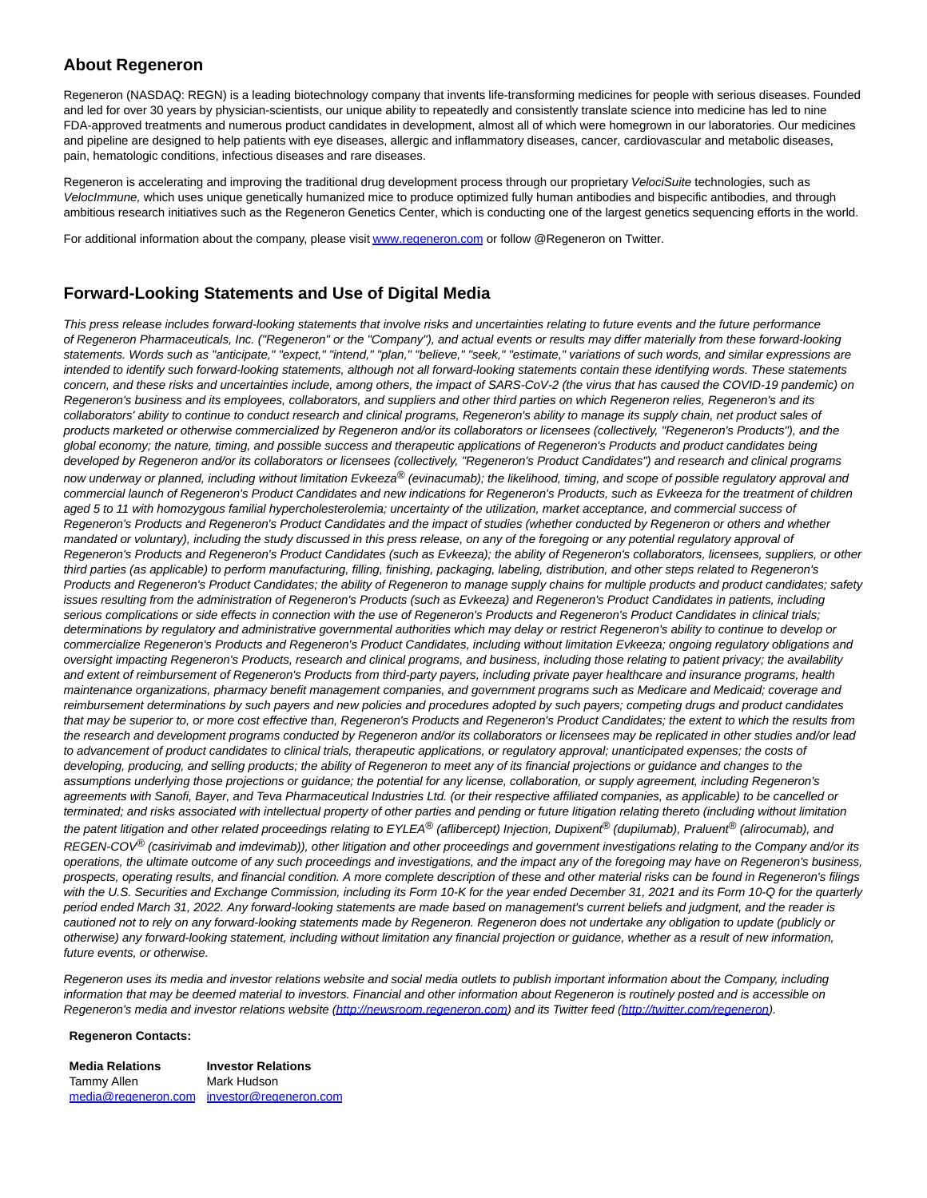## **About Regeneron**

Regeneron (NASDAQ: REGN) is a leading biotechnology company that invents life-transforming medicines for people with serious diseases. Founded and led for over 30 years by physician-scientists, our unique ability to repeatedly and consistently translate science into medicine has led to nine FDA-approved treatments and numerous product candidates in development, almost all of which were homegrown in our laboratories. Our medicines and pipeline are designed to help patients with eye diseases, allergic and inflammatory diseases, cancer, cardiovascular and metabolic diseases, pain, hematologic conditions, infectious diseases and rare diseases.

Regeneron is accelerating and improving the traditional drug development process through our proprietary VelociSuite technologies, such as VelocImmune, which uses unique genetically humanized mice to produce optimized fully human antibodies and bispecific antibodies, and through ambitious research initiatives such as the Regeneron Genetics Center, which is conducting one of the largest genetics sequencing efforts in the world.

For additional information about the company, please visi[t www.regeneron.com o](https://c212.net/c/link/?t=0&l=en&o=3544429-1&h=3564693314&u=http%3A%2F%2Fwww.regeneron.com%2F&a=www.regeneron.com)r follow @Regeneron on Twitter.

# **Forward-Looking Statements and Use of Digital Media**

This press release includes forward-looking statements that involve risks and uncertainties relating to future events and the future performance of Regeneron Pharmaceuticals, Inc. ("Regeneron" or the "Company"), and actual events or results may differ materially from these forward-looking statements. Words such as "anticipate," "expect," "intend," "plan," "believe," "seek," "estimate," variations of such words, and similar expressions are intended to identify such forward-looking statements, although not all forward-looking statements contain these identifying words. These statements concern, and these risks and uncertainties include, among others, the impact of SARS-CoV-2 (the virus that has caused the COVID-19 pandemic) on Regeneron's business and its employees, collaborators, and suppliers and other third parties on which Regeneron relies, Regeneron's and its collaborators' ability to continue to conduct research and clinical programs, Regeneron's ability to manage its supply chain, net product sales of products marketed or otherwise commercialized by Regeneron and/or its collaborators or licensees (collectively, "Regeneron's Products"), and the global economy; the nature, timing, and possible success and therapeutic applications of Regeneron's Products and product candidates being developed by Regeneron and/or its collaborators or licensees (collectively, "Regeneron's Product Candidates") and research and clinical programs now underway or planned, including without limitation Evkeeza® (evinacumab); the likelihood, timing, and scope of possible regulatory approval and commercial launch of Regeneron's Product Candidates and new indications for Regeneron's Products, such as Evkeeza for the treatment of children aged 5 to 11 with homozygous familial hypercholesterolemia; uncertainty of the utilization, market acceptance, and commercial success of Regeneron's Products and Regeneron's Product Candidates and the impact of studies (whether conducted by Regeneron or others and whether mandated or voluntary), including the study discussed in this press release, on any of the foregoing or any potential regulatory approval of Regeneron's Products and Regeneron's Product Candidates (such as Evkeeza); the ability of Regeneron's collaborators, licensees, suppliers, or other third parties (as applicable) to perform manufacturing, filling, finishing, packaging, labeling, distribution, and other steps related to Regeneron's Products and Regeneron's Product Candidates; the ability of Regeneron to manage supply chains for multiple products and product candidates; safety issues resulting from the administration of Regeneron's Products (such as Evkeeza) and Regeneron's Product Candidates in patients, including serious complications or side effects in connection with the use of Regeneron's Products and Regeneron's Product Candidates in clinical trials; determinations by regulatory and administrative governmental authorities which may delay or restrict Regeneron's ability to continue to develop or commercialize Regeneron's Products and Regeneron's Product Candidates, including without limitation Evkeeza; ongoing regulatory obligations and oversight impacting Regeneron's Products, research and clinical programs, and business, including those relating to patient privacy; the availability and extent of reimbursement of Regeneron's Products from third-party payers, including private payer healthcare and insurance programs, health maintenance organizations, pharmacy benefit management companies, and government programs such as Medicare and Medicaid; coverage and reimbursement determinations by such payers and new policies and procedures adopted by such payers; competing drugs and product candidates that may be superior to, or more cost effective than, Regeneron's Products and Regeneron's Product Candidates; the extent to which the results from the research and development programs conducted by Regeneron and/or its collaborators or licensees may be replicated in other studies and/or lead to advancement of product candidates to clinical trials, therapeutic applications, or regulatory approval; unanticipated expenses; the costs of developing, producing, and selling products; the ability of Regeneron to meet any of its financial projections or guidance and changes to the assumptions underlying those projections or guidance; the potential for any license, collaboration, or supply agreement, including Regeneron's agreements with Sanofi, Bayer, and Teva Pharmaceutical Industries Ltd. (or their respective affiliated companies, as applicable) to be cancelled or terminated; and risks associated with intellectual property of other parties and pending or future litigation relating thereto (including without limitation the patent litigation and other related proceedings relating to EYLEA® (aflibercept) Injection, Dupixent<sup>®</sup> (dupilumab), Praluent<sup>®</sup> (alirocumab), and REGEN-COV<sup>®</sup> (casirivimab and imdevimab)), other litigation and other proceedings and government investigations relating to the Company and/or its operations, the ultimate outcome of any such proceedings and investigations, and the impact any of the foregoing may have on Regeneron's business, prospects, operating results, and financial condition. A more complete description of these and other material risks can be found in Regeneron's filings with the U.S. Securities and Exchange Commission, including its Form 10-K for the year ended December 31, 2021 and its Form 10-Q for the quarterly period ended March 31, 2022. Any forward-looking statements are made based on management's current beliefs and judgment, and the reader is cautioned not to rely on any forward-looking statements made by Regeneron. Regeneron does not undertake any obligation to update (publicly or otherwise) any forward-looking statement, including without limitation any financial projection or guidance, whether as a result of new information, future events, or otherwise.

Regeneron uses its media and investor relations website and social media outlets to publish important information about the Company, including information that may be deemed material to investors. Financial and other information about Regeneron is routinely posted and is accessible on Regeneron's media and investor relations website [\(http://newsroom.regeneron.com\)](https://c212.net/c/link/?t=0&l=en&o=3544429-1&h=4245789752&u=http%3A%2F%2Fnewsroom.regeneron.com%2F&a=http%3A%2F%2Fnewsroom.regeneron.com) and its Twitter feed [\(http://twitter.com/regeneron\).](https://c212.net/c/link/?t=0&l=en&o=3544429-1&h=4215284687&u=https%3A%2F%2Fc212.net%2Fc%2Flink%2F%3Ft%3D0%26l%3Den%26o%3D3387026-1%26h%3D619644995%26u%3Dhttp%253A%252F%252Ftwitter.com%252Fregeneron%26a%3Dhttp%253A%252F%252Ftwitter.com%252Fregeneron&a=http%3A%2F%2Ftwitter.com%2Fregeneron)

### **Regeneron Contacts:**

| <b>Media Relations</b> | <b>Investor Relations</b> |
|------------------------|---------------------------|
| Tammy Allen            | Mark Hudson               |
| media@regeneron.com    | investor@regeneron.com    |